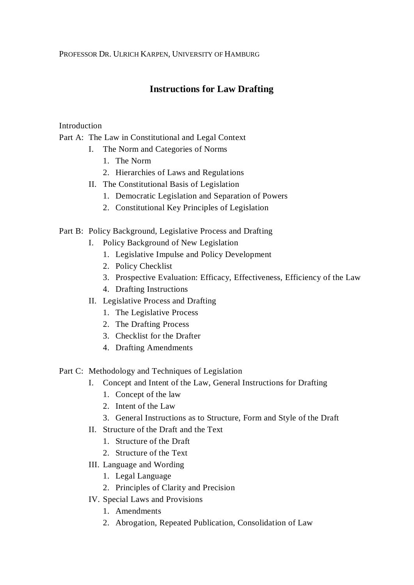PROFESSOR DR. ULRICH KARPEN, UNIVERSITY OF HAMBURG

# **Instructions for Law Drafting**

# Introduction

Part A: The Law in Constitutional and Legal Context

- I. The Norm and Categories of Norms
	- 1. The Norm
	- 2. Hierarchies of Laws and Regulations
- II. The Constitutional Basis of Legislation
	- 1. Democratic Legislation and Separation of Powers
	- 2. Constitutional Key Principles of Legislation

# Part B: Policy Background, Legislative Process and Drafting

- I. Policy Background of New Legislation
	- 1. Legislative Impulse and Policy Development
	- 2. Policy Checklist
	- 3. Prospective Evaluation: Efficacy, Effectiveness, Efficiency of the Law
	- 4. Drafting Instructions
- II. Legislative Process and Drafting
	- 1. The Legislative Process
	- 2. The Drafting Process
	- 3. Checklist for the Drafter
	- 4. Drafting Amendments

# Part C: Methodology and Techniques of Legislation

- I. Concept and Intent of the Law, General Instructions for Drafting
	- 1. Concept of the law
	- 2. Intent of the Law
	- 3. General Instructions as to Structure, Form and Style of the Draft
- II. Structure of the Draft and the Text
	- 1. Structure of the Draft
	- 2. Structure of the Text
- III. Language and Wording
	- 1. Legal Language
	- 2. Principles of Clarity and Precision
- IV. Special Laws and Provisions
	- 1. Amendments
	- 2. Abrogation, Repeated Publication, Consolidation of Law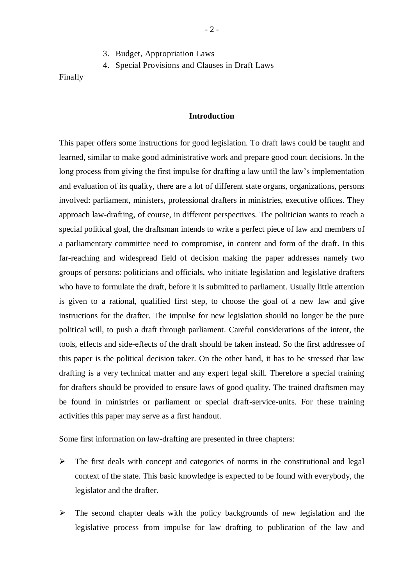- 3. Budget, Appropriation Laws
- 4. Special Provisions and Clauses in Draft Laws

Finally

#### **Introduction**

- 2 -

This paper offers some instructions for good legislation. To draft laws could be taught and learned, similar to make good administrative work and prepare good court decisions. In the long process from giving the first impulse for drafting a law until the law's implementation and evaluation of its quality, there are a lot of different state organs, organizations, persons involved: parliament, ministers, professional drafters in ministries, executive offices. They approach law-drafting, of course, in different perspectives. The politician wants to reach a special political goal, the draftsman intends to write a perfect piece of law and members of a parliamentary committee need to compromise, in content and form of the draft. In this far-reaching and widespread field of decision making the paper addresses namely two groups of persons: politicians and officials, who initiate legislation and legislative drafters who have to formulate the draft, before it is submitted to parliament. Usually little attention is given to a rational, qualified first step, to choose the goal of a new law and give instructions for the drafter. The impulse for new legislation should no longer be the pure political will, to push a draft through parliament. Careful considerations of the intent, the tools, effects and side-effects of the draft should be taken instead. So the first addressee of this paper is the political decision taker. On the other hand, it has to be stressed that law drafting is a very technical matter and any expert legal skill. Therefore a special training for drafters should be provided to ensure laws of good quality. The trained draftsmen may be found in ministries or parliament or special draft-service-units. For these training activities this paper may serve as a first handout.

Some first information on law-drafting are presented in three chapters:

- $\triangleright$  The first deals with concept and categories of norms in the constitutional and legal context of the state. This basic knowledge is expected to be found with everybody, the legislator and the drafter.
- $\triangleright$  The second chapter deals with the policy backgrounds of new legislation and the legislative process from impulse for law drafting to publication of the law and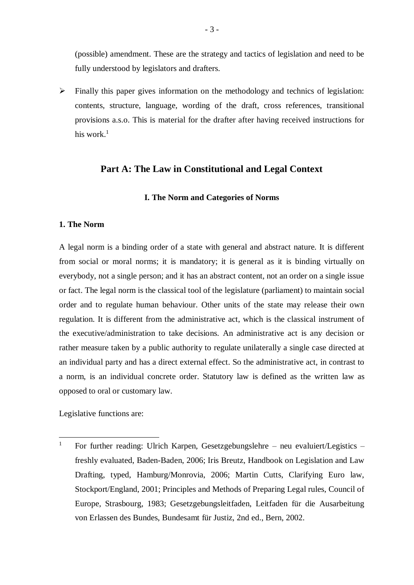(possible) amendment. These are the strategy and tactics of legislation and need to be fully understood by legislators and drafters.

 $\triangleright$  Finally this paper gives information on the methodology and technics of legislation: contents, structure, language, wording of the draft, cross references, transitional provisions a.s.o. This is material for the drafter after having received instructions for his work. $<sup>1</sup>$ </sup>

## **Part A: The Law in Constitutional and Legal Context**

### **I. The Norm and Categories of Norms**

### **1. The Norm**

A legal norm is a binding order of a state with general and abstract nature. It is different from social or moral norms; it is mandatory; it is general as it is binding virtually on everybody, not a single person; and it has an abstract content, not an order on a single issue or fact. The legal norm is the classical tool of the legislature (parliament) to maintain social order and to regulate human behaviour. Other units of the state may release their own regulation. It is different from the administrative act, which is the classical instrument of the executive/administration to take decisions. An administrative act is any decision or rather measure taken by a public authority to regulate unilaterally a single case directed at an individual party and has a direct external effect. So the administrative act, in contrast to a norm, is an individual concrete order. Statutory law is defined as the written law as opposed to oral or customary law.

Legislative functions are:

 $\mathbf{1}$ <sup>1</sup> For further reading: Ulrich Karpen, Gesetzgebungslehre – neu evaluiert/Legistics – freshly evaluated, Baden-Baden, 2006; Iris Breutz, Handbook on Legislation and Law Drafting, typed, Hamburg/Monrovia, 2006; Martin Cutts, Clarifying Euro law, Stockport/England, 2001; Principles and Methods of Preparing Legal rules, Council of Europe, Strasbourg, 1983; Gesetzgebungsleitfaden, Leitfaden für die Ausarbeitung von Erlassen des Bundes, Bundesamt für Justiz, 2nd ed., Bern, 2002.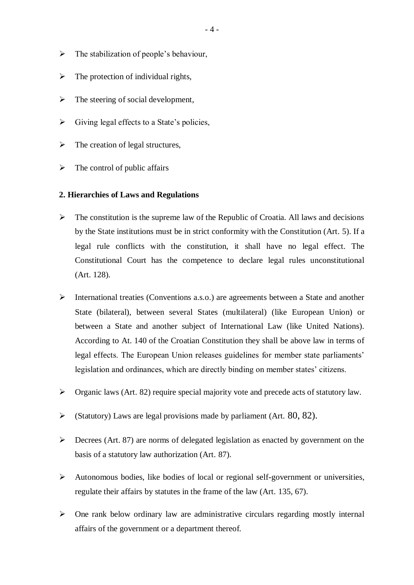- $\triangleright$  The stabilization of people's behaviour,
- $\triangleright$  The protection of individual rights,
- $\triangleright$  The steering of social development,
- $\triangleright$  Giving legal effects to a State's policies,
- $\triangleright$  The creation of legal structures,
- $\triangleright$  The control of public affairs

#### **2. Hierarchies of Laws and Regulations**

- $\triangleright$  The constitution is the supreme law of the Republic of Croatia. All laws and decisions by the State institutions must be in strict conformity with the Constitution (Art. 5). If a legal rule conflicts with the constitution, it shall have no legal effect. The Constitutional Court has the competence to declare legal rules unconstitutional (Art. 128).
- $\triangleright$  International treaties (Conventions a.s.o.) are agreements between a State and another State (bilateral), between several States (multilateral) (like European Union) or between a State and another subject of International Law (like United Nations). According to At. 140 of the Croatian Constitution they shall be above law in terms of legal effects. The European Union releases guidelines for member state parliaments' legislation and ordinances, which are directly binding on member states' citizens.
- Organic laws (Art. 82) require special majority vote and precede acts of statutory law.
- Statutory) Laws are legal provisions made by parliament (Art.  $80, 82$ ).
- $\triangleright$  Decrees (Art. 87) are norms of delegated legislation as enacted by government on the basis of a statutory law authorization (Art. 87).
- $\triangleright$  Autonomous bodies, like bodies of local or regional self-government or universities, regulate their affairs by statutes in the frame of the law (Art. 135, 67).
- $\triangleright$  One rank below ordinary law are administrative circulars regarding mostly internal affairs of the government or a department thereof.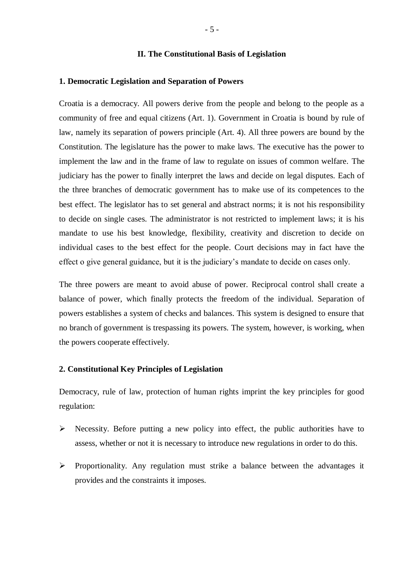#### **II. The Constitutional Basis of Legislation**

#### **1. Democratic Legislation and Separation of Powers**

Croatia is a democracy. All powers derive from the people and belong to the people as a community of free and equal citizens (Art. 1). Government in Croatia is bound by rule of law, namely its separation of powers principle (Art. 4). All three powers are bound by the Constitution. The legislature has the power to make laws. The executive has the power to implement the law and in the frame of law to regulate on issues of common welfare. The judiciary has the power to finally interpret the laws and decide on legal disputes. Each of the three branches of democratic government has to make use of its competences to the best effect. The legislator has to set general and abstract norms; it is not his responsibility to decide on single cases. The administrator is not restricted to implement laws; it is his mandate to use his best knowledge, flexibility, creativity and discretion to decide on individual cases to the best effect for the people. Court decisions may in fact have the effect o give general guidance, but it is the judiciary's mandate to decide on cases only.

The three powers are meant to avoid abuse of power. Reciprocal control shall create a balance of power, which finally protects the freedom of the individual. Separation of powers establishes a system of checks and balances. This system is designed to ensure that no branch of government is trespassing its powers. The system, however, is working, when the powers cooperate effectively.

## **2. Constitutional Key Principles of Legislation**

Democracy, rule of law, protection of human rights imprint the key principles for good regulation:

- $\triangleright$  Necessity. Before putting a new policy into effect, the public authorities have to assess, whether or not it is necessary to introduce new regulations in order to do this.
- $\triangleright$  Proportionality. Any regulation must strike a balance between the advantages it provides and the constraints it imposes.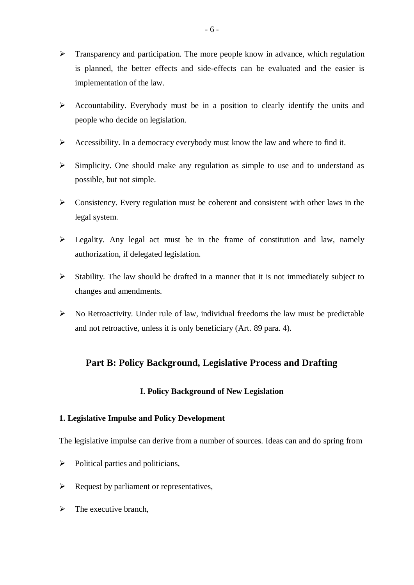- $\triangleright$  Transparency and participation. The more people know in advance, which regulation is planned, the better effects and side-effects can be evaluated and the easier is implementation of the law.
- $\triangleright$  Accountability. Everybody must be in a position to clearly identify the units and people who decide on legislation.
- Accessibility. In a democracy everybody must know the law and where to find it.
- $\triangleright$  Simplicity. One should make any regulation as simple to use and to understand as possible, but not simple.
- $\triangleright$  Consistency. Every regulation must be coherent and consistent with other laws in the legal system.
- $\triangleright$  Legality. Any legal act must be in the frame of constitution and law, namely authorization, if delegated legislation.
- $\triangleright$  Stability. The law should be drafted in a manner that it is not immediately subject to changes and amendments.
- $\triangleright$  No Retroactivity. Under rule of law, individual freedoms the law must be predictable and not retroactive, unless it is only beneficiary (Art. 89 para. 4).

# **Part B: Policy Background, Legislative Process and Drafting**

# **I. Policy Background of New Legislation**

## **1. Legislative Impulse and Policy Development**

The legislative impulse can derive from a number of sources. Ideas can and do spring from

- $\triangleright$  Political parties and politicians,
- $\triangleright$  Request by parliament or representatives,
- $\triangleright$  The executive branch,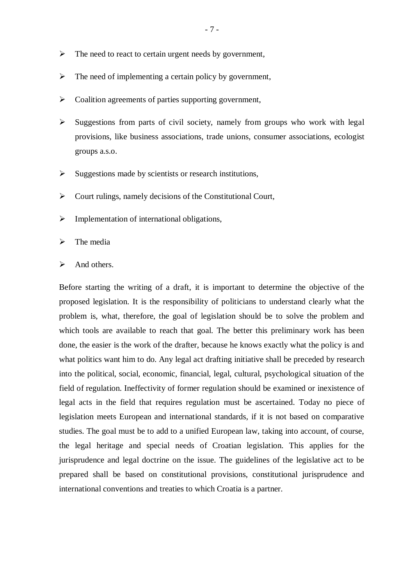- $\triangleright$  The need to react to certain urgent needs by government,
- $\triangleright$  The need of implementing a certain policy by government,
- $\triangleright$  Coalition agreements of parties supporting government,
- $\triangleright$  Suggestions from parts of civil society, namely from groups who work with legal provisions, like business associations, trade unions, consumer associations, ecologist groups a.s.o.
- $\triangleright$  Suggestions made by scientists or research institutions,
- $\triangleright$  Court rulings, namely decisions of the Constitutional Court,
- $\triangleright$  Implementation of international obligations,
- $\triangleright$  The media
- $\triangleright$  And others.

Before starting the writing of a draft, it is important to determine the objective of the proposed legislation. It is the responsibility of politicians to understand clearly what the problem is, what, therefore, the goal of legislation should be to solve the problem and which tools are available to reach that goal. The better this preliminary work has been done, the easier is the work of the drafter, because he knows exactly what the policy is and what politics want him to do. Any legal act drafting initiative shall be preceded by research into the political, social, economic, financial, legal, cultural, psychological situation of the field of regulation. Ineffectivity of former regulation should be examined or inexistence of legal acts in the field that requires regulation must be ascertained. Today no piece of legislation meets European and international standards, if it is not based on comparative studies. The goal must be to add to a unified European law, taking into account, of course, the legal heritage and special needs of Croatian legislation. This applies for the jurisprudence and legal doctrine on the issue. The guidelines of the legislative act to be prepared shall be based on constitutional provisions, constitutional jurisprudence and international conventions and treaties to which Croatia is a partner.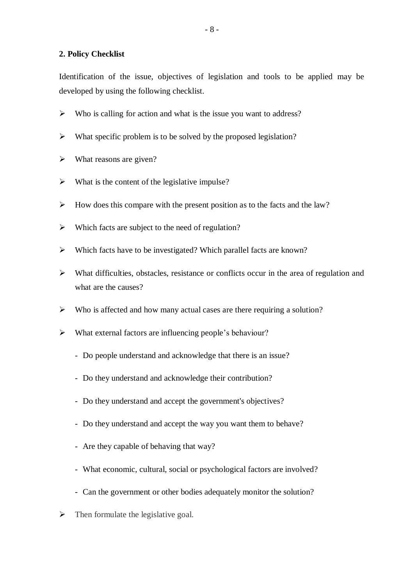## **2. Policy Checklist**

Identification of the issue, objectives of legislation and tools to be applied may be developed by using the following checklist.

- $\triangleright$  Who is calling for action and what is the issue you want to address?
- $\triangleright$  What specific problem is to be solved by the proposed legislation?
- $\triangleright$  What reasons are given?
- $\triangleright$  What is the content of the legislative impulse?
- $\triangleright$  How does this compare with the present position as to the facts and the law?
- $\triangleright$  Which facts are subject to the need of regulation?
- $\triangleright$  Which facts have to be investigated? Which parallel facts are known?
- $\triangleright$  What difficulties, obstacles, resistance or conflicts occur in the area of regulation and what are the causes?
- $\triangleright$  Who is affected and how many actual cases are there requiring a solution?
- What external factors are influencing people's behaviour?
	- Do people understand and acknowledge that there is an issue?
	- Do they understand and acknowledge their contribution?
	- Do they understand and accept the government's objectives?
	- Do they understand and accept the way you want them to behave?
	- Are they capable of behaving that way?
	- What economic, cultural, social or psychological factors are involved?
	- Can the government or other bodies adequately monitor the solution?
- $\triangleright$  Then formulate the legislative goal.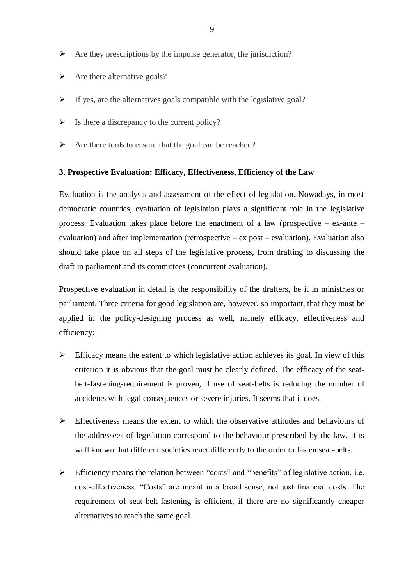- $\triangleright$  Are they prescriptions by the impulse generator, the jurisdiction?
- $\triangleright$  Are there alternative goals?
- $\triangleright$  If yes, are the alternatives goals compatible with the legislative goal?
- $\triangleright$  Is there a discrepancy to the current policy?
- $\triangleright$  Are there tools to ensure that the goal can be reached?

## **3. Prospective Evaluation: Efficacy, Effectiveness, Efficiency of the Law**

Evaluation is the analysis and assessment of the effect of legislation. Nowadays, in most democratic countries, evaluation of legislation plays a significant role in the legislative process. Evaluation takes place before the enactment of a law (prospective – ex-ante – evaluation) and after implementation (retrospective – ex post – evaluation). Evaluation also should take place on all steps of the legislative process, from drafting to discussing the draft in parliament and its committees (concurrent evaluation).

Prospective evaluation in detail is the responsibility of the drafters, be it in ministries or parliament. Three criteria for good legislation are, however, so important, that they must be applied in the policy-designing process as well, namely efficacy, effectiveness and efficiency:

- $\triangleright$  Efficacy means the extent to which legislative action achieves its goal. In view of this criterion it is obvious that the goal must be clearly defined. The efficacy of the seatbelt-fastening-requirement is proven, if use of seat-belts is reducing the number of accidents with legal consequences or severe injuries. It seems that it does.
- $\triangleright$  Effectiveness means the extent to which the observative attitudes and behaviours of the addressees of legislation correspond to the behaviour prescribed by the law. It is well known that different societies react differently to the order to fasten seat-belts.
- $\triangleright$  Efficiency means the relation between "costs" and "benefits" of legislative action, i.e. cost-effectiveness. "Costs" are meant in a broad sense, not just financial costs. The requirement of seat-belt-fastening is efficient, if there are no significantly cheaper alternatives to reach the same goal.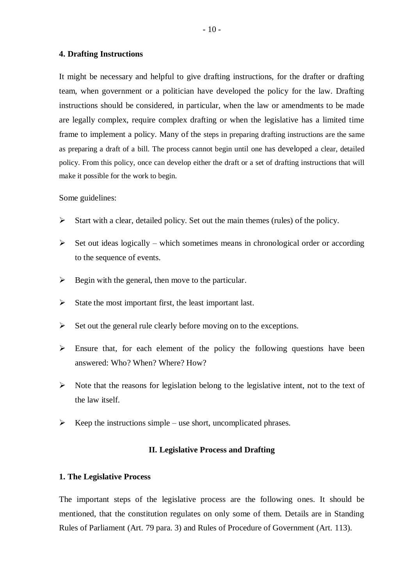#### **4. Drafting Instructions**

It might be necessary and helpful to give drafting instructions, for the drafter or drafting team, when government or a politician have developed the policy for the law. Drafting instructions should be considered, in particular, when the law or amendments to be made are legally complex, require complex drafting or when the legislative has a limited time frame to implement a policy. Many of the steps in preparing drafting instructions are the same as preparing a draft of a bill. The process cannot begin until one has developed a clear, detailed policy. From this policy, once can develop either the draft or a set of drafting instructions that will make it possible for the work to begin.

#### Some guidelines:

- $\triangleright$  Start with a clear, detailed policy. Set out the main themes (rules) of the policy.
- $\triangleright$  Set out ideas logically which sometimes means in chronological order or according to the sequence of events.
- $\triangleright$  Begin with the general, then move to the particular.
- $\triangleright$  State the most important first, the least important last.
- $\triangleright$  Set out the general rule clearly before moving on to the exceptions.
- $\triangleright$  Ensure that, for each element of the policy the following questions have been answered: Who? When? Where? How?
- $\triangleright$  Note that the reasons for legislation belong to the legislative intent, not to the text of the law itself.
- $\triangleright$  Keep the instructions simple use short, uncomplicated phrases.

## **II. Legislative Process and Drafting**

## **1. The Legislative Process**

The important steps of the legislative process are the following ones. It should be mentioned, that the constitution regulates on only some of them. Details are in Standing Rules of Parliament (Art. 79 para. 3) and Rules of Procedure of Government (Art. 113).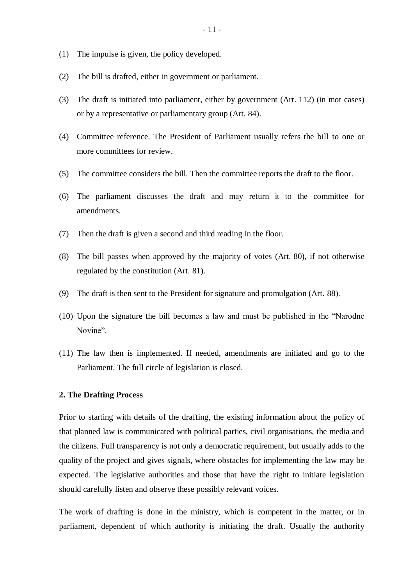- (1) The impulse is given, the policy developed.
- (2) The bill is drafted, either in government or parliament.
- (3) The draft is initiated into parliament, either by government (Art. 112) (in mot cases) or by a representative or parliamentary group (Art. 84).
- (4) Committee reference. The President of Parliament usually refers the bill to one or more committees for review.
- (5) The committee considers the bill. Then the committee reports the draft to the floor.
- (6) The parliament discusses the draft and may return it to the committee for amendments.
- (7) Then the draft is given a second and third reading in the floor.
- (8) The bill passes when approved by the majority of votes (Art. 80), if not otherwise regulated by the constitution (Art. 81).
- (9) The draft is then sent to the President for signature and promulgation (Art. 88).
- (10) Upon the signature the bill becomes a law and must be published in the "Narodne Novine".
- (11) The law then is implemented. If needed, amendments are initiated and go to the Parliament. The full circle of legislation is closed.

### **2. The Drafting Process**

Prior to starting with details of the drafting, the existing information about the policy of that planned law is communicated with political parties, civil organisations, the media and the citizens. Full transparency is not only a democratic requirement, but usually adds to the quality of the project and gives signals, where obstacles for implementing the law may be expected. The legislative authorities and those that have the right to initiate legislation should carefully listen and observe these possibly relevant voices.

The work of drafting is done in the ministry, which is competent in the matter, or in parliament, dependent of which authority is initiating the draft. Usually the authority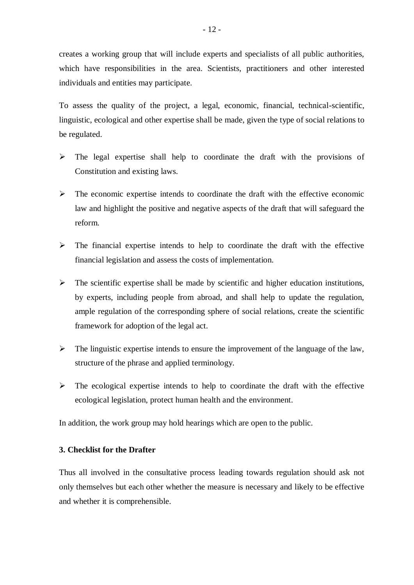creates a working group that will include experts and specialists of all public authorities, which have responsibilities in the area. Scientists, practitioners and other interested individuals and entities may participate.

To assess the quality of the project, a legal, economic, financial, technical-scientific, linguistic, ecological and other expertise shall be made, given the type of social relations to be regulated.

- $\triangleright$  The legal expertise shall help to coordinate the draft with the provisions of Constitution and existing laws.
- $\triangleright$  The economic expertise intends to coordinate the draft with the effective economic law and highlight the positive and negative aspects of the draft that will safeguard the reform.
- $\triangleright$  The financial expertise intends to help to coordinate the draft with the effective financial legislation and assess the costs of implementation.
- $\triangleright$  The scientific expertise shall be made by scientific and higher education institutions, by experts, including people from abroad, and shall help to update the regulation, ample regulation of the corresponding sphere of social relations, create the scientific framework for adoption of the legal act.
- $\triangleright$  The linguistic expertise intends to ensure the improvement of the language of the law, structure of the phrase and applied terminology.
- $\triangleright$  The ecological expertise intends to help to coordinate the draft with the effective ecological legislation, protect human health and the environment.

In addition, the work group may hold hearings which are open to the public.

## **3. Checklist for the Drafter**

Thus all involved in the consultative process leading towards regulation should ask not only themselves but each other whether the measure is necessary and likely to be effective and whether it is comprehensible.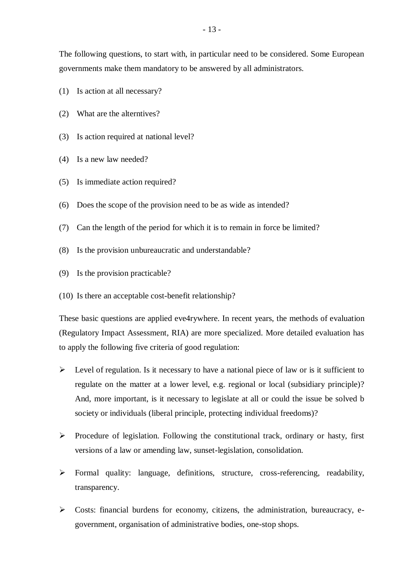The following questions, to start with, in particular need to be considered. Some European governments make them mandatory to be answered by all administrators.

- (1) Is action at all necessary?
- (2) What are the alterntives?
- (3) Is action required at national level?
- (4) Is a new law needed?
- (5) Is immediate action required?
- (6) Does the scope of the provision need to be as wide as intended?
- (7) Can the length of the period for which it is to remain in force be limited?
- (8) Is the provision unbureaucratic and understandable?
- (9) Is the provision practicable?
- (10) Is there an acceptable cost-benefit relationship?

These basic questions are applied eve4rywhere. In recent years, the methods of evaluation (Regulatory Impact Assessment, RIA) are more specialized. More detailed evaluation has to apply the following five criteria of good regulation:

- $\triangleright$  Level of regulation. Is it necessary to have a national piece of law or is it sufficient to regulate on the matter at a lower level, e.g. regional or local (subsidiary principle)? And, more important, is it necessary to legislate at all or could the issue be solved b society or individuals (liberal principle, protecting individual freedoms)?
- $\triangleright$  Procedure of legislation. Following the constitutional track, ordinary or hasty, first versions of a law or amending law, sunset-legislation, consolidation.
- Formal quality: language, definitions, structure, cross-referencing, readability, transparency.
- $\triangleright$  Costs: financial burdens for economy, citizens, the administration, bureaucracy, egovernment, organisation of administrative bodies, one-stop shops.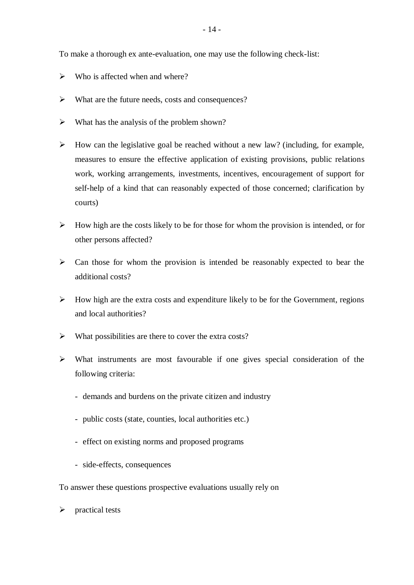To make a thorough ex ante-evaluation, one may use the following check-list:

- $\triangleright$  Who is affected when and where?
- What are the future needs, costs and consequences?
- $\triangleright$  What has the analysis of the problem shown?
- $\triangleright$  How can the legislative goal be reached without a new law? (including, for example, measures to ensure the effective application of existing provisions, public relations work, working arrangements, investments, incentives, encouragement of support for self-help of a kind that can reasonably expected of those concerned; clarification by courts)
- $\triangleright$  How high are the costs likely to be for those for whom the provision is intended, or for other persons affected?
- $\triangleright$  Can those for whom the provision is intended be reasonably expected to bear the additional costs?
- $\triangleright$  How high are the extra costs and expenditure likely to be for the Government, regions and local authorities?
- $\triangleright$  What possibilities are there to cover the extra costs?
- $\triangleright$  What instruments are most favourable if one gives special consideration of the following criteria:
	- demands and burdens on the private citizen and industry
	- public costs (state, counties, local authorities etc.)
	- effect on existing norms and proposed programs
	- side-effects, consequences

To answer these questions prospective evaluations usually rely on

 $\triangleright$  practical tests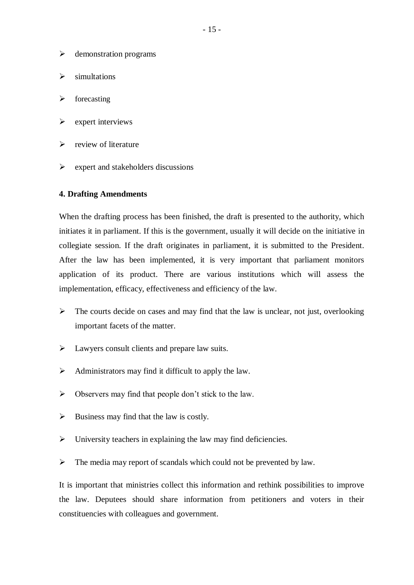- $\triangleright$  demonstration programs
- $\triangleright$  simultations
- $\triangleright$  forecasting
- $\triangleright$  expert interviews
- $\triangleright$  review of literature
- $\triangleright$  expert and stakeholders discussions

## **4. Drafting Amendments**

When the drafting process has been finished, the draft is presented to the authority, which initiates it in parliament. If this is the government, usually it will decide on the initiative in collegiate session. If the draft originates in parliament, it is submitted to the President. After the law has been implemented, it is very important that parliament monitors application of its product. There are various institutions which will assess the implementation, efficacy, effectiveness and efficiency of the law.

- $\triangleright$  The courts decide on cases and may find that the law is unclear, not just, overlooking important facets of the matter.
- $\triangleright$  Lawyers consult clients and prepare law suits.
- $\triangleright$  Administrators may find it difficult to apply the law.
- $\triangleright$  Observers may find that people don't stick to the law.
- $\triangleright$  Business may find that the law is costly.
- $\triangleright$  University teachers in explaining the law may find deficiencies.
- $\triangleright$  The media may report of scandals which could not be prevented by law.

It is important that ministries collect this information and rethink possibilities to improve the law. Deputees should share information from petitioners and voters in their constituencies with colleagues and government.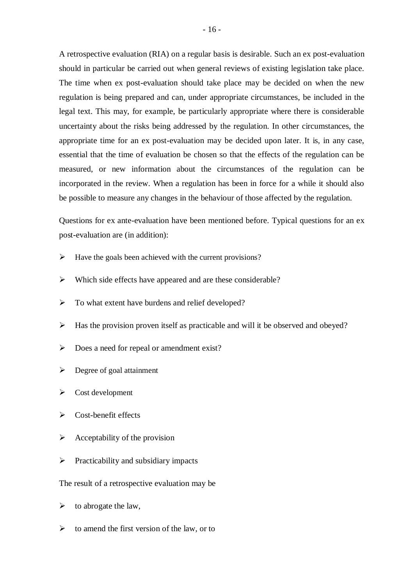A retrospective evaluation (RIA) on a regular basis is desirable. Such an ex post-evaluation should in particular be carried out when general reviews of existing legislation take place. The time when ex post-evaluation should take place may be decided on when the new regulation is being prepared and can, under appropriate circumstances, be included in the legal text. This may, for example, be particularly appropriate where there is considerable uncertainty about the risks being addressed by the regulation. In other circumstances, the appropriate time for an ex post-evaluation may be decided upon later. It is, in any case, essential that the time of evaluation be chosen so that the effects of the regulation can be measured, or new information about the circumstances of the regulation can be incorporated in the review. When a regulation has been in force for a while it should also be possible to measure any changes in the behaviour of those affected by the regulation.

Questions for ex ante-evaluation have been mentioned before. Typical questions for an ex post-evaluation are (in addition):

- $\triangleright$  Have the goals been achieved with the current provisions?
- $\triangleright$  Which side effects have appeared and are these considerable?
- $\triangleright$  To what extent have burdens and relief developed?
- $\triangleright$  Has the provision proven itself as practicable and will it be observed and obeyed?
- $\triangleright$  Does a need for repeal or amendment exist?
- $\triangleright$  Degree of goal attainment
- $\triangleright$  Cost development
- $\triangleright$  Cost-benefit effects
- $\triangleright$  Acceptability of the provision
- $\triangleright$  Practicability and subsidiary impacts
- The result of a retrospective evaluation may be
- $\triangleright$  to abrogate the law,
- $\triangleright$  to amend the first version of the law, or to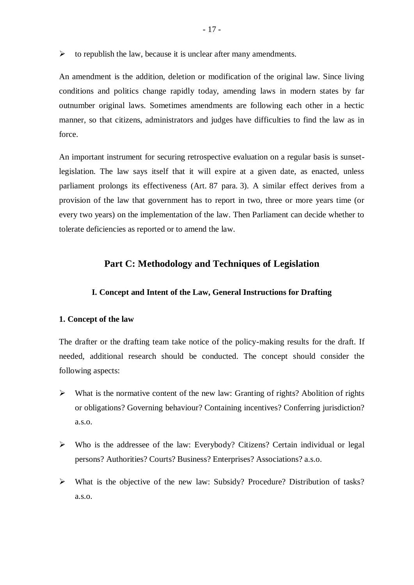$\triangleright$  to republish the law, because it is unclear after many amendments.

An amendment is the addition, deletion or modification of the original law. Since living conditions and politics change rapidly today, amending laws in modern states by far outnumber original laws. Sometimes amendments are following each other in a hectic manner, so that citizens, administrators and judges have difficulties to find the law as in force.

An important instrument for securing retrospective evaluation on a regular basis is sunsetlegislation. The law says itself that it will expire at a given date, as enacted, unless parliament prolongs its effectiveness (Art. 87 para. 3). A similar effect derives from a provision of the law that government has to report in two, three or more years time (or every two years) on the implementation of the law. Then Parliament can decide whether to tolerate deficiencies as reported or to amend the law.

## **Part C: Methodology and Techniques of Legislation**

#### **I. Concept and Intent of the Law, General Instructions for Drafting**

#### **1. Concept of the law**

The drafter or the drafting team take notice of the policy-making results for the draft. If needed, additional research should be conducted. The concept should consider the following aspects:

- $\triangleright$  What is the normative content of the new law: Granting of rights? Abolition of rights or obligations? Governing behaviour? Containing incentives? Conferring jurisdiction? a.s.o.
- Who is the addressee of the law: Everybody? Citizens? Certain individual or legal persons? Authorities? Courts? Business? Enterprises? Associations? a.s.o.
- What is the objective of the new law: Subsidy? Procedure? Distribution of tasks? a.s.o.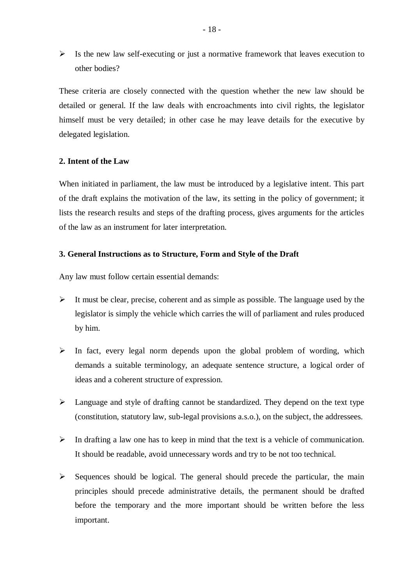$\triangleright$  Is the new law self-executing or just a normative framework that leaves execution to other bodies?

These criteria are closely connected with the question whether the new law should be detailed or general. If the law deals with encroachments into civil rights, the legislator himself must be very detailed; in other case he may leave details for the executive by delegated legislation.

## **2. Intent of the Law**

When initiated in parliament, the law must be introduced by a legislative intent. This part of the draft explains the motivation of the law, its setting in the policy of government; it lists the research results and steps of the drafting process, gives arguments for the articles of the law as an instrument for later interpretation.

## **3. General Instructions as to Structure, Form and Style of the Draft**

Any law must follow certain essential demands:

- $\triangleright$  It must be clear, precise, coherent and as simple as possible. The language used by the legislator is simply the vehicle which carries the will of parliament and rules produced by him.
- $\triangleright$  In fact, every legal norm depends upon the global problem of wording, which demands a suitable terminology, an adequate sentence structure, a logical order of ideas and a coherent structure of expression.
- Language and style of drafting cannot be standardized. They depend on the text type (constitution, statutory law, sub-legal provisions a.s.o.), on the subject, the addressees.
- $\triangleright$  In drafting a law one has to keep in mind that the text is a vehicle of communication. It should be readable, avoid unnecessary words and try to be not too technical.
- $\triangleright$  Sequences should be logical. The general should precede the particular, the main principles should precede administrative details, the permanent should be drafted before the temporary and the more important should be written before the less important.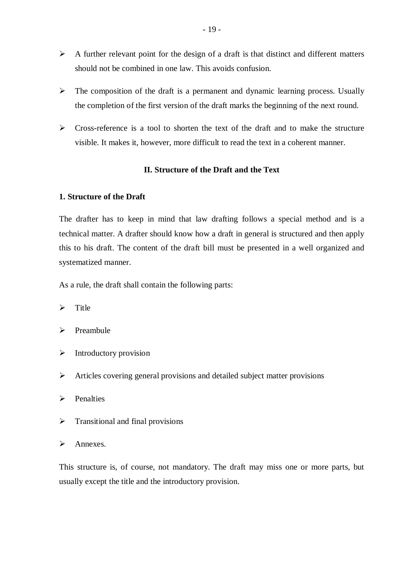- $\triangleright$  A further relevant point for the design of a draft is that distinct and different matters should not be combined in one law. This avoids confusion.
- $\triangleright$  The composition of the draft is a permanent and dynamic learning process. Usually the completion of the first version of the draft marks the beginning of the next round.
- $\triangleright$  Cross-reference is a tool to shorten the text of the draft and to make the structure visible. It makes it, however, more difficult to read the text in a coherent manner.

## **II. Structure of the Draft and the Text**

## **1. Structure of the Draft**

The drafter has to keep in mind that law drafting follows a special method and is a technical matter. A drafter should know how a draft in general is structured and then apply this to his draft. The content of the draft bill must be presented in a well organized and systematized manner.

As a rule, the draft shall contain the following parts:

- $\triangleright$  Title
- $\triangleright$  Preambule
- $\triangleright$  Introductory provision
- Articles covering general provisions and detailed subject matter provisions
- $\triangleright$  Penalties
- $\triangleright$  Transitional and final provisions
- $\triangleright$  Annexes.

This structure is, of course, not mandatory. The draft may miss one or more parts, but usually except the title and the introductory provision.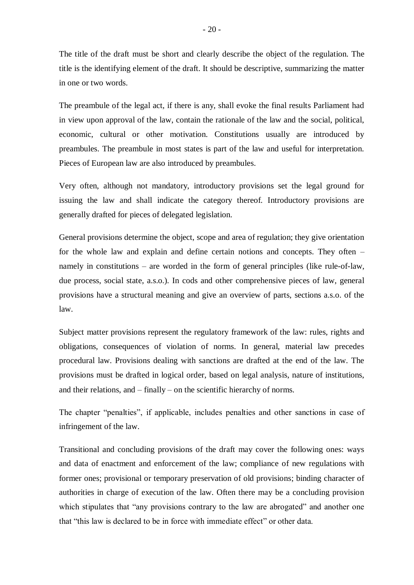The title of the draft must be short and clearly describe the object of the regulation. The title is the identifying element of the draft. It should be descriptive, summarizing the matter in one or two words.

The preambule of the legal act, if there is any, shall evoke the final results Parliament had in view upon approval of the law, contain the rationale of the law and the social, political, economic, cultural or other motivation. Constitutions usually are introduced by preambules. The preambule in most states is part of the law and useful for interpretation. Pieces of European law are also introduced by preambules.

Very often, although not mandatory, introductory provisions set the legal ground for issuing the law and shall indicate the category thereof. Introductory provisions are generally drafted for pieces of delegated legislation.

General provisions determine the object, scope and area of regulation; they give orientation for the whole law and explain and define certain notions and concepts. They often – namely in constitutions – are worded in the form of general principles (like rule-of-law, due process, social state, a.s.o.). In cods and other comprehensive pieces of law, general provisions have a structural meaning and give an overview of parts, sections a.s.o. of the law.

Subject matter provisions represent the regulatory framework of the law: rules, rights and obligations, consequences of violation of norms. In general, material law precedes procedural law. Provisions dealing with sanctions are drafted at the end of the law. The provisions must be drafted in logical order, based on legal analysis, nature of institutions, and their relations, and – finally – on the scientific hierarchy of norms.

The chapter "penalties", if applicable, includes penalties and other sanctions in case of infringement of the law.

Transitional and concluding provisions of the draft may cover the following ones: ways and data of enactment and enforcement of the law; compliance of new regulations with former ones; provisional or temporary preservation of old provisions; binding character of authorities in charge of execution of the law. Often there may be a concluding provision which stipulates that "any provisions contrary to the law are abrogated" and another one that "this law is declared to be in force with immediate effect" or other data.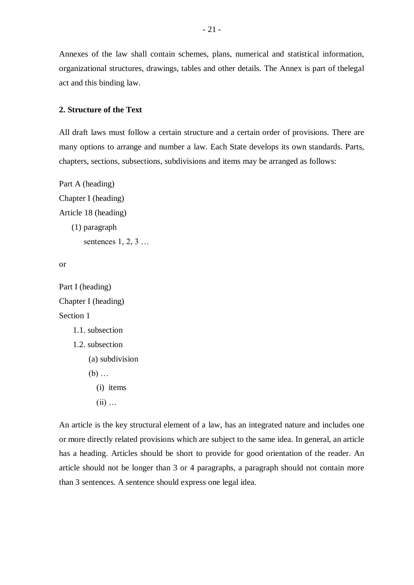Annexes of the law shall contain schemes, plans, numerical and statistical information, organizational structures, drawings, tables and other details. The Annex is part of thelegal act and this binding law.

### **2. Structure of the Text**

All draft laws must follow a certain structure and a certain order of provisions. There are many options to arrange and number a law. Each State develops its own standards. Parts, chapters, sections, subsections, subdivisions and items may be arranged as follows:

```
Part A (heading)
Chapter I (heading)
Article 18 (heading)
   (1) paragraph
       sentences 1, 2, 3 ...
```

```
or
```

```
Part I (heading)
Chapter I (heading)
Section 1
    1.1. subsection
    1.2. subsection
        (a) subdivision
        (b) …
           (i) items
           (ii) …
```
An article is the key structural element of a law, has an integrated nature and includes one or more directly related provisions which are subject to the same idea. In general, an article has a heading. Articles should be short to provide for good orientation of the reader. An article should not be longer than 3 or 4 paragraphs, a paragraph should not contain more than 3 sentences. A sentence should express one legal idea.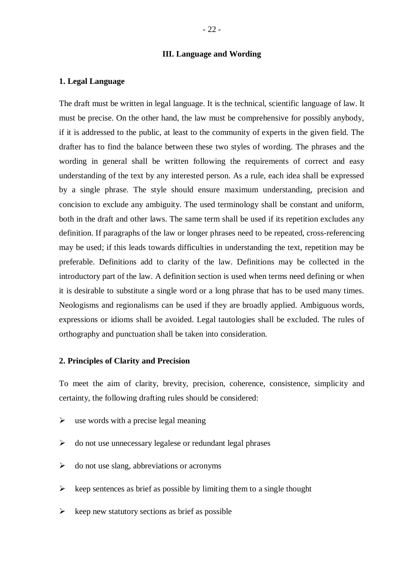### **III. Language and Wording**

#### **1. Legal Language**

The draft must be written in legal language. It is the technical, scientific language of law. It must be precise. On the other hand, the law must be comprehensive for possibly anybody, if it is addressed to the public, at least to the community of experts in the given field. The drafter has to find the balance between these two styles of wording. The phrases and the wording in general shall be written following the requirements of correct and easy understanding of the text by any interested person. As a rule, each idea shall be expressed by a single phrase. The style should ensure maximum understanding, precision and concision to exclude any ambiguity. The used terminology shall be constant and uniform, both in the draft and other laws. The same term shall be used if its repetition excludes any definition. If paragraphs of the law or longer phrases need to be repeated, cross-referencing may be used; if this leads towards difficulties in understanding the text, repetition may be preferable. Definitions add to clarity of the law. Definitions may be collected in the introductory part of the law. A definition section is used when terms need defining or when it is desirable to substitute a single word or a long phrase that has to be used many times. Neologisms and regionalisms can be used if they are broadly applied. Ambiguous words, expressions or idioms shall be avoided. Legal tautologies shall be excluded. The rules of orthography and punctuation shall be taken into consideration.

## **2. Principles of Clarity and Precision**

To meet the aim of clarity, brevity, precision, coherence, consistence, simplicity and certainty, the following drafting rules should be considered:

- $\triangleright$  use words with a precise legal meaning
- $\triangleright$  do not use unnecessary legalese or redundant legal phrases
- $\triangleright$  do not use slang, abbreviations or acronyms
- $\triangleright$  keep sentences as brief as possible by limiting them to a single thought
- $\triangleright$  keep new statutory sections as brief as possible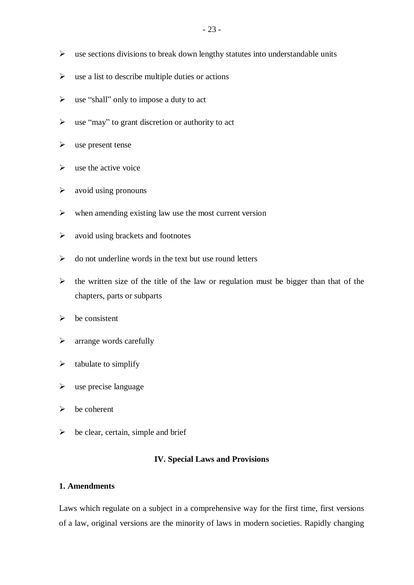- $\triangleright$  use sections divisions to break down lengthy statutes into understandable units
- $\triangleright$  use a list to describe multiple duties or actions
- $\triangleright$  use "shall" only to impose a duty to act
- $\triangleright$  use "may" to grant discretion or authority to act
- $\triangleright$  use present tense
- $\triangleright$  use the active voice
- $\triangleright$  avoid using pronouns
- $\triangleright$  when amending existing law use the most current version
- $\triangleright$  avoid using brackets and footnotes
- $\triangleright$  do not underline words in the text but use round letters
- $\triangleright$  the written size of the title of the law or regulation must be bigger than that of the chapters, parts or subparts
- $\triangleright$  be consistent
- $\triangleright$  arrange words carefully
- $\triangleright$  tabulate to simplify
- $\triangleright$  use precise language
- $\triangleright$  be coherent
- $\triangleright$  be clear, certain, simple and brief

## **IV. Special Laws and Provisions**

## **1. Amendments**

Laws which regulate on a subject in a comprehensive way for the first time, first versions of a law, original versions are the minority of laws in modern societies. Rapidly changing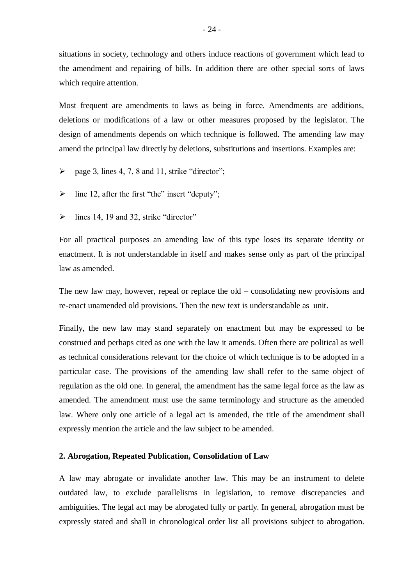situations in society, technology and others induce reactions of government which lead to the amendment and repairing of bills. In addition there are other special sorts of laws which require attention.

Most frequent are amendments to laws as being in force. Amendments are additions, deletions or modifications of a law or other measures proposed by the legislator. The design of amendments depends on which technique is followed. The amending law may amend the principal law directly by deletions, substitutions and insertions. Examples are:

- $\triangleright$  page 3, lines 4, 7, 8 and 11, strike "director";
- $\triangleright$  line 12, after the first "the" insert "deputy";
- $\triangleright$  lines 14, 19 and 32, strike "director"

For all practical purposes an amending law of this type loses its separate identity or enactment. It is not understandable in itself and makes sense only as part of the principal law as amended.

The new law may, however, repeal or replace the old – consolidating new provisions and re-enact unamended old provisions. Then the new text is understandable as unit.

Finally, the new law may stand separately on enactment but may be expressed to be construed and perhaps cited as one with the law it amends. Often there are political as well as technical considerations relevant for the choice of which technique is to be adopted in a particular case. The provisions of the amending law shall refer to the same object of regulation as the old one. In general, the amendment has the same legal force as the law as amended. The amendment must use the same terminology and structure as the amended law. Where only one article of a legal act is amended, the title of the amendment shall expressly mention the article and the law subject to be amended.

#### **2. Abrogation, Repeated Publication, Consolidation of Law**

A law may abrogate or invalidate another law. This may be an instrument to delete outdated law, to exclude parallelisms in legislation, to remove discrepancies and ambiguities. The legal act may be abrogated fully or partly. In general, abrogation must be expressly stated and shall in chronological order list all provisions subject to abrogation.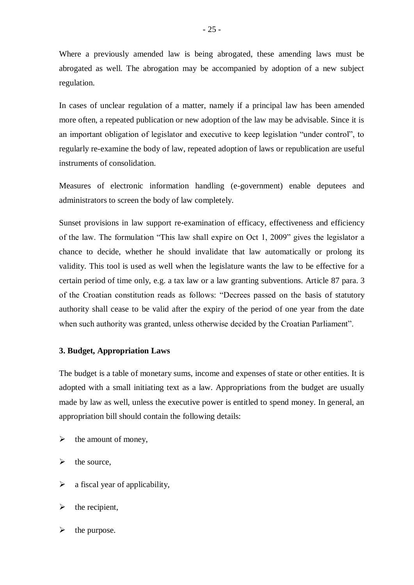In cases of unclear regulation of a matter, namely if a principal law has been amended more often, a repeated publication or new adoption of the law may be advisable. Since it is an important obligation of legislator and executive to keep legislation "under control", to regularly re-examine the body of law, repeated adoption of laws or republication are useful instruments of consolidation.

Measures of electronic information handling (e-government) enable deputees and administrators to screen the body of law completely.

Sunset provisions in law support re-examination of efficacy, effectiveness and efficiency of the law. The formulation "This law shall expire on Oct 1, 2009" gives the legislator a chance to decide, whether he should invalidate that law automatically or prolong its validity. This tool is used as well when the legislature wants the law to be effective for a certain period of time only, e.g. a tax law or a law granting subventions. Article 87 para. 3 of the Croatian constitution reads as follows: "Decrees passed on the basis of statutory authority shall cease to be valid after the expiry of the period of one year from the date when such authority was granted, unless otherwise decided by the Croatian Parliament".

## **3. Budget, Appropriation Laws**

The budget is a table of monetary sums, income and expenses of state or other entities. It is adopted with a small initiating text as a law. Appropriations from the budget are usually made by law as well, unless the executive power is entitled to spend money. In general, an appropriation bill should contain the following details:

- $\triangleright$  the amount of money.
- $\triangleright$  the source,
- $\triangleright$  a fiscal year of applicability.
- $\triangleright$  the recipient,
- $\triangleright$  the purpose.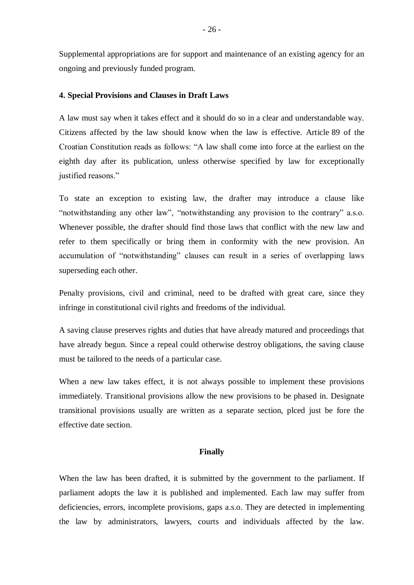Supplemental appropriations are for support and maintenance of an existing agency for an ongoing and previously funded program.

#### **4. Special Provisions and Clauses in Draft Laws**

A law must say when it takes effect and it should do so in a clear and understandable way. Citizens affected by the law should know when the law is effective. Article 89 of the Croatian Constitution reads as follows: "A law shall come into force at the earliest on the eighth day after its publication, unless otherwise specified by law for exceptionally justified reasons."

To state an exception to existing law, the drafter may introduce a clause like "notwithstanding any other law", "notwithstanding any provision to the contrary" a.s.o. Whenever possible, the drafter should find those laws that conflict with the new law and refer to them specifically or bring them in conformity with the new provision. An accumulation of "notwithstanding" clauses can result in a series of overlapping laws superseding each other.

Penalty provisions, civil and criminal, need to be drafted with great care, since they infringe in constitutional civil rights and freedoms of the individual.

A saving clause preserves rights and duties that have already matured and proceedings that have already begun. Since a repeal could otherwise destroy obligations, the saving clause must be tailored to the needs of a particular case.

When a new law takes effect, it is not always possible to implement these provisions immediately. Transitional provisions allow the new provisions to be phased in. Designate transitional provisions usually are written as a separate section, plced just be fore the effective date section.

#### **Finally**

When the law has been drafted, it is submitted by the government to the parliament. If parliament adopts the law it is published and implemented. Each law may suffer from deficiencies, errors, incomplete provisions, gaps a.s.o. They are detected in implementing the law by administrators, lawyers, courts and individuals affected by the law.